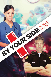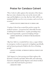# Praise for Candace Calvert

"Wow. Calvert really captures the intensity of the drama that our crisis volunteers face out on the streets with cops and firefighters every day. *By Your Side* will be my standard gift this year for every occasion, and even for no occasion."

**—DAVID VINCENT, DIRECTOR OF US CRISIS CARE**

"Candace Calvert has created the perfect recipe for medical romance. A tenacious but vulnerable heroine. A dashing but troubled hero. A pulse-pounding story. But most importantly, a generous helping of hope."

# **—JORDYN REDWOOD, AUTHOR OF THE BLOODLINE TRILOGY**

"[*By Your Side*] is a wonderful love story, a super tribute to emergency workers in general, to chaplains specifically, and an honest portrayal of faith in the lives of hurting people."

**—JANICE CANTORE, AUTHOR OF** *CRITICAL PURSUIT* **AND**  *ACCUSED*

"*Life Support* is a fast-moving novel that explores the dynamics of family and faith. Believable and endearing characters alongside family disputes and critical medical crises make this book hard to put down."

**—***ROMANTIC TIMES*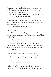"In *Life Support*, Candace Calvert provides authentic medical thrills from characters so real you miss them when you turn the last page."

# **—RICHARD L. MABRY, MD, AWARD-WINNING AUTHOR OF**  *HEART FAILURE* **AND** *STRESS TEST*

"Calvert's adventuresome story of romance and drama infuses faith into her characters' motivations and makes readers eager for more."

#### **—***BOOKLIST* **ON** *RESCUE TEAM*

"Candace Calvert makes hearts race, raises anxiety levels, and heightens emotions—all against doctor's orders—but it seems to be an ultimate cure for anyone in need of their reading fix!"

**—RELZ REVIEWZ**

"Just like an outstanding episode of *Grey's Anatomy*, *Trauma Plan* weaves medical, community, and personal issues with blossoming romance and strands of mystery."

**—***BOOKLIST*

"*Trauma Plan* is a humor-filled romance, woven throughout with suspense, medical intrigue, and faith. Readers will look forward to the rest of the Grace Medical series<sup>"</sup>

**—***ROMANTIC TIMES***, 4½ STAR REVIEW**

"Calvert . . . infuses her story with detailed medical procedures and terminology along with honest questions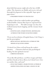about faith that anyone might ask in the face of difficulties. The characters are likable and receive rich and thorough development in this enjoyable 'hope opera' page-turner."

**—***PUBLISHERS WEEKLY* **ON** *TRAUMA PLAN*

"Candace Calvert has crafted another gut-grabbing medical thriller. *Trauma Plan* kept me engrossed from beginning to end. . . . The faith message was clear, the medical traumas heart-stopping, and the romance heart melting."

# **—LYNETTE EASON, AWARD-WINNING, BESTSELLING AUTHOR OF THE WOMEN OF JUSTICE SERIES**

"If you need an infusion of hospital drama, *Code Triage* is just the prescription."

**—IRENE HANNON, BESTSELLING AUTHOR OF THE HEROES OF QUANTICO SERIES**

"[*Critical Care*] flows well and keeps the reader's attention. . . . Characters find not only psychological healing, but also spiritual renewal."

**—***CHRISTIAN RETAILING*

"If you like *ER* and *House*, you'll love Logan and Claire and their friends at Sierra Mercy [in *Critical Care*]. Give me another dose, and soon!"

**—SUSAN MAY WARREN, AWARD-WINNING AUTHOR OF**  *HAPPILY EVER AFTER* **AND** *TAKE A CHANCE ON ME*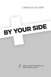# CANDACE CALVERT

# BY YOUR SIDE

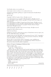Visit Tyndale online at www.tyndale.com.

Visit Candace Calvert's website at www.candacecalvert.com.

*TYNDALE* and Tyndale's quill logo are registered trademarks of Tyndale House Publishers, Inc.

*By Your Side*

Copyright © 2015 by Candace Calvert. All rights reserved.

Cover photograph of man copyright © laflor/iStockphoto. All rights reserved. Cover photograph of police uniform copyright © George Doyle/Getty Images. All rights reserved.

Cover photograph of red lights © Image Source/Getty Images. All rights reserved. Cover photograph of woman copyright © Maridav/Shutterstock. All rights reserved. Cover photograph of operating room copyright © Monkey Business Images/ Shutterstock. All rights reserved.

Author photograph copyright © 2011 by Ocean Images. All rights reserved.

Designed by Mark Anthony Lane II

Edited by Sarah Mason

Published in association with the literary agency of Natasha Kern Literary Agency, Inc., P.O. Box 1069, White Salmon, WA 98672.

Scripture taken from the Holy Bible, *New International Version*, ® *NIV*. ® Copyright © 1973, 1978, 1984, 2011 by Biblica, Inc.® Used by permission of Zondervan. All rights reserved worldwide. www.zondervan.com.

*By Your Side* is a work of fiction. Where real people, events, establishments, organizations, or locales appear, they are used fictitiously. All other elements of the novel are drawn from the author's imagination.

#### **Library of Congress Cataloging-in-Publication Data**

Calvert, Candace, date.

By your side / Candace Calvert.

pages ; cm. — (Crisis team ; #1)

Summary: ER nurse Macy Wynn learned essential, gritty lessons in the California foster care system: Land on your feet and trust no one. She's finally located the fellow foster child she loves like a sister, but the girl's in deep trouble. Macy's determined to help, no matter what it takes. Her motto is to "make it happen" in any situation life throws at her—even when she butts heads with an idealistic cop. Deputy Fletcher Holt believes in a higher plan, the fair outcome—and his ability to handle that by himself if necessary. Now he's been yanked from Houston, his mother is battling cancer, and he's attracted to a strong-willed nurse who could be the target of a brutal sniper. When everything goes wrong, where do they put their trust?

ISBN 978-1-4143-9032-1 (sc) I. Title. PS3603.A4463B9 2015 813'.6—dc23 2014033702

Printed in the United States of America

|  |  | 21  20  19  18  17  16  15 |  |
|--|--|----------------------------|--|
|  |  | 7 6 5 4 3 2 1              |  |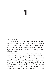# 1

### "OFFICER, HELP!"

Deputy Fletcher Holt spotted a woman waving her arms overhead, a frantic flash of purple in the crush of idling cars. Sacramento's afternoon rush hour had been brought to a tire-squealing halt by an overturned gravel truck blocking all four southbound lanes. He'd seen it happen in his rearview mirror.

"We need you . . ." The woman's voice strained over a continual, indignant barrage of car horns. "Over here!"

Fletcher signaled back, then broke into a jog, sucking in a breath made acrid by asphalt, car exhaust, and burnt rubber. Sweat trickled beneath his protective vest despite the mild, early June weather. He'd been headed to the Florin substation, end of watch, when the dump truck did its kamikaze dive across the freeway, causing at least a dozen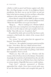vehicles to skid on gravel and bounce against each other like a Six Flags bumper car ride. It was Highway Patrol's jurisdiction, but there was no way he'd drive on and not help. In the last ten minutes, he'd set out flares, offered his assistance to the arriving CHP officers, and now—

A horn blared: vintage M-class BMW, its driver wearing a business suit, sunglasses, and an openly belligerent look. "What's the deal? When can we get out of here?"

"Hang on. . . . They're working on it," Fletcher huffed, the edge in his voice coming from more than physical exertion. *You're not the only one who's got someplace else to be, buddy.* "Stay with your car—be patient, okay?"

He pushed his stride and covered the last dozen yards, coming to a halt beside the vehicle of the woman who'd waved to him.

"Yes, ma'am," he said, noting that she appeared unharmed. "You called for help?"

"Not for me," she explained, turning to point toward the far lane. "Over there, that van. I think someone's hurt."

Fletcher spotted a clutch of people, phone cameras held aloft. No surprise social media was getting a look before first responders. Tweet-a-wreck.

"Thank you. Stay with your car," Fletcher told the woman, relieved to hear sirens in the distance. Paramedics. Amazingly, the truck driver had climbed from the cab without a scratch. And as far as Fletcher knew, there had been no serious injuries. Hopefully that mercy would continue.

"Cop's here!" someone announced as Fletcher approached the vehicle. Even from several yards away, he saw the shattered window and crumpled side panel. It